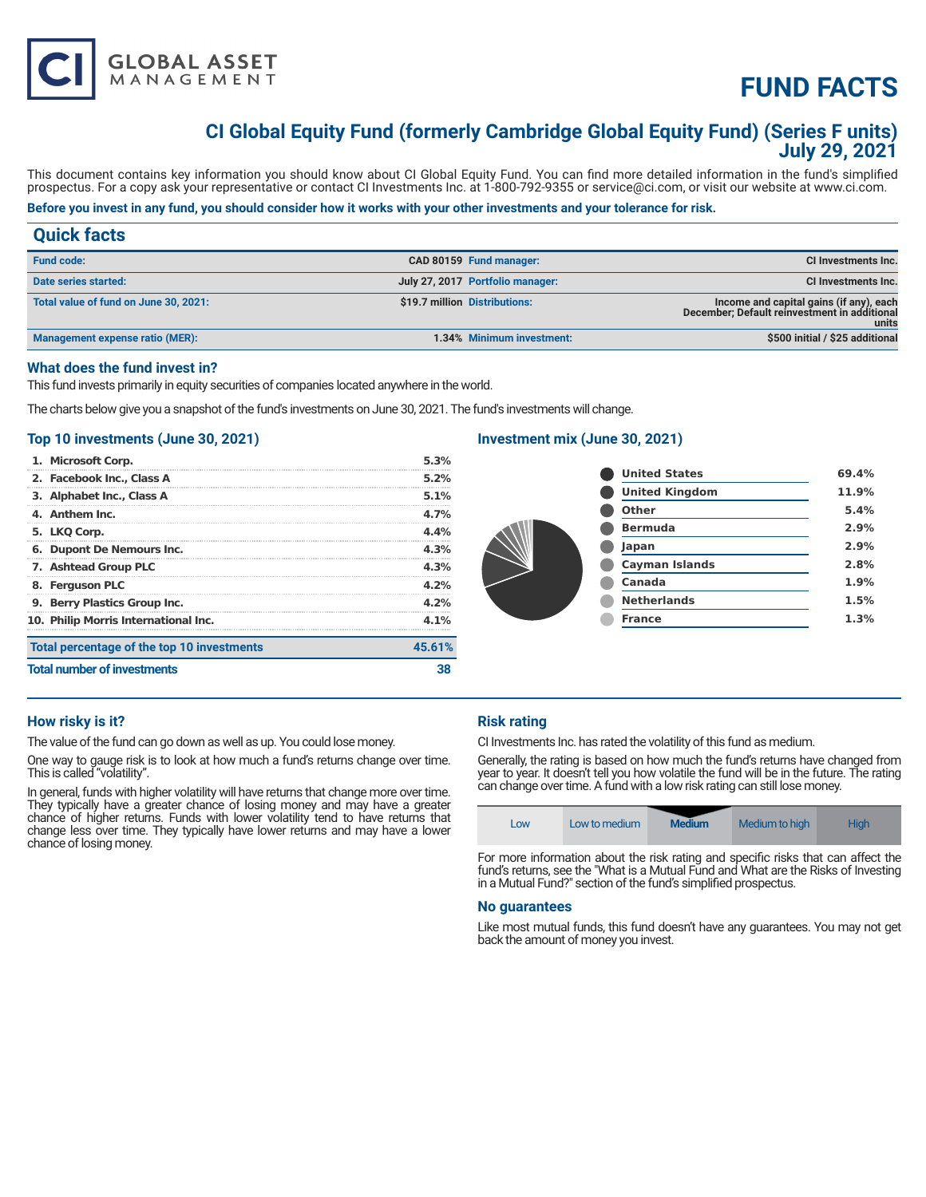# **FUND FACTS**

# **CI Global Equity Fund (formerly Cambridge Global Equity Fund) (Series F units) July 29, 2021**

This document contains key information you should know about CI Global Equity Fund. You can find more detailed information in the fund's simplified prospectus. For a copy ask your representative or contact CI Investments Inc. at 1-800-792-9355 or service@ci.com, or visit our website at www.ci.com.

# **Before you invest in any fund, you should consider how it works with your other investments and your tolerance for risk.**

| <b>Quick facts</b>                    |                               |                                  |                                                                                                  |
|---------------------------------------|-------------------------------|----------------------------------|--------------------------------------------------------------------------------------------------|
| <b>Fund code:</b>                     |                               | CAD 80159 Fund manager:          | CI Investments Inc.                                                                              |
| Date series started:                  |                               | July 27, 2017 Portfolio manager: | CI Investments Inc.                                                                              |
| Total value of fund on June 30, 2021: | \$19.7 million Distributions: |                                  | Income and capital gains (if any), each<br>December; Default reinvestment in additional<br>units |
| Management expense ratio (MER):       |                               | 1.34% Minimum investment:        | \$500 initial / \$25 additional                                                                  |

#### **What does the fund invest in?**

This fund invests primarily in equity securities of companies located anywhere in the world.

The charts below give you a snapshot of the fund's investments on June 30, 2021. The fund's investments will change.

# **Top 10 investments (June 30, 2021)**

**GLOBAL ASSET**<br>MANAGEMENT

| <b>Total number of investments</b> |                                            |        |
|------------------------------------|--------------------------------------------|--------|
|                                    | Total percentage of the top 10 investments | 45.61% |
|                                    | 10. Philip Morris International Inc.       | 4.1%   |
|                                    | 9. Berry Plastics Group Inc.               | 4.2%   |
| 8. Ferguson PLC                    |                                            | 4.2%   |
|                                    | 7. Ashtead Group PLC                       | 4.3%   |
|                                    | 6. Dupont De Nemours Inc.                  | 4.3%   |
| 5. LKQ Corp.                       |                                            | 4.4%   |
| 4. Anthem Inc.                     |                                            | 4.7%   |
|                                    | 3. Alphabet Inc., Class A                  | 5.1%   |
|                                    | 2. Facebook Inc., Class A                  | 5.2%   |
| 1. Microsoft Corp.                 |                                            | 5.3%   |

# **Investment mix (June 30, 2021)**

|  | <b>United States</b>  | 69.4% |
|--|-----------------------|-------|
|  | <b>United Kingdom</b> | 11.9% |
|  | <b>Other</b>          | 5.4%  |
|  | <b>Bermuda</b>        | 2.9%  |
|  | Japan                 | 2.9%  |
|  | <b>Cayman Islands</b> | 2.8%  |
|  | Canada                | 1.9%  |
|  | <b>Netherlands</b>    | 1.5%  |
|  | <b>France</b>         | 1.3%  |
|  |                       |       |

# **How risky is it?**

The value of the fund can go down as well as up. You could lose money.

One way to gauge risk is to look at how much a fund's returns change over time. This is called "volatility".

In general, funds with higher volatility will have returns that change more over time. They typically have a greater chance of losing money and may have a greater chance of higher returns. Funds with lower volatility tend to have returns that change less over time. They typically have lower returns and may have a lower chance of losing money.

# **Risk rating**

CI Investments Inc. has rated the volatility of this fund as medium.

Generally, the rating is based on how much the fund's returns have changed from year to year. It doesn't tell you how volatile the fund will be in the future. The rating can change over time. A fund with a low risk rating can still lose money.

| Low | Low to medium | <b>Medium</b> | Medium to high                                            | <b>High</b>   |
|-----|---------------|---------------|-----------------------------------------------------------|---------------|
|     |               |               | $\mathbf{r}$ , $\mathbf{r}$ , $\mathbf{r}$ , $\mathbf{r}$ | $\sim$ $\sim$ |

For more information about the risk rating and specific risks that can affect the fund's returns, see the "What is a Mutual Fund and What are the Risks of Investing in a Mutual Fund?" section of the fund's simplified prospectus.

#### **No guarantees**

Like most mutual funds, this fund doesn't have any guarantees. You may not get back the amount of money you invest.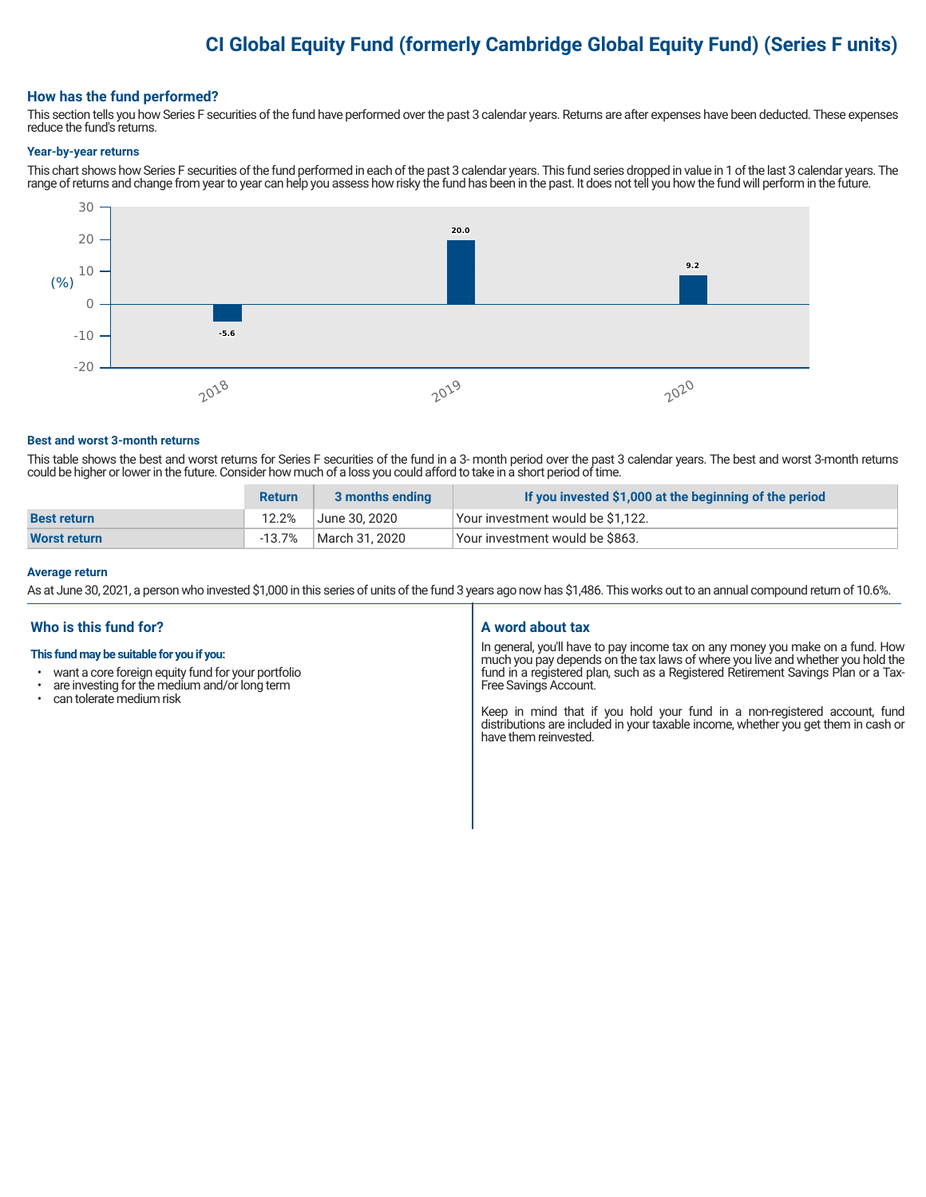# **CI Global Equity Fund (formerly Cambridge Global Equity Fund) (Series F units)**

# **How has the fund performed?**

This section tells you how Series F securities of the fund have performed over the past 3 calendar years. Returns are after expenses have been deducted. These expenses reduce the fund's returns.

#### **Year-by-year returns**

This chart shows how Series F securities of the fund performed in each of the past 3 calendar years. This fund series dropped in value in 1 of the last 3 calendar years. The range of returns and change from year to year can help you assess how risky the fund has been in the past. It does not tell you how the fund will perform in the future.



#### **Best and worst 3-month returns**

This table shows the best and worst returns for Series F securities of the fund in a 3- month period over the past 3 calendar years. The best and worst 3-month returns could be higher or lower in the future. Consider how much of a loss you could afford to take in a short period of time.

|                    | <b>Return</b> | 3 months ending | If you invested \$1,000 at the beginning of the period |
|--------------------|---------------|-----------------|--------------------------------------------------------|
| <b>Best return</b> | 12.2%         | June 30. 2020   | Your investment would be \$1,122.                      |
| Worst return       | $-13.7%$      | March 31, 2020  | Your investment would be \$863.                        |

#### **Average return**

As at June 30, 2021, a person who invested \$1,000 in this series of units of the fund 3 years ago now has \$1,486. This works out to an annual compound return of 10.6%.

# **Who is this fund for?**

#### **This fund may be suitable for you if you:**

- want a core foreign equity fund for your portfolio
- $\cdot$  are investing for the medium and/or long term  $\cdot$  can telerate medium risk
- can tolerate medium risk

# **A word about tax**

In general, you'll have to pay income tax on any money you make on a fund. How much you pay depends on the tax laws of where you live and whether you hold the fund in a registered plan, such as a Registered Retirement Savings Plan or a Tax-Free Savings Account.

Keep in mind that if you hold your fund in a non-registered account, fund distributions are included in your taxable income, whether you get them in cash or have them reinvested.